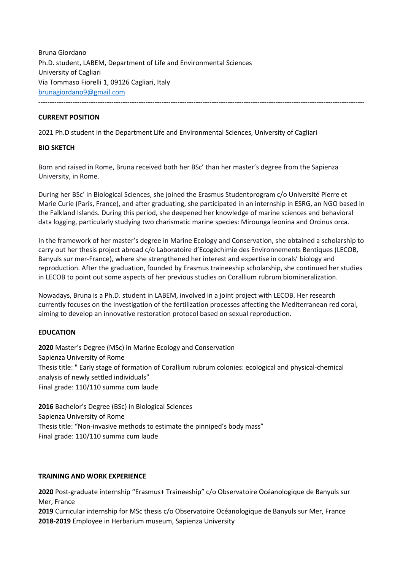Bruna Giordano Ph.D. student, LABEM, Department of Life and Environmental Sciences University of Cagliari Via Tommaso Fiorelli 1, 09126 Cagliari, Italy brunagiordano9@gmail.com -----------------------------------------------------------------------------------------------------------------------------------------------

### **CURRENT POSITION**

2021 Ph.D student in the Department Life and Environmental Sciences, University of Cagliari

#### **BIO SKETCH**

Born and raised in Rome, Bruna received both her BSc' than her master's degree from the Sapienza University, in Rome.

During her BSc' in Biological Sciences, she joined the Erasmus Studentprogram c/o Université Pierre et Marie Curie (Paris, France), and after graduating, she participated in an internship in ESRG, an NGO based in the Falkland Islands. During this period, she deepened her knowledge of marine sciences and behavioral data logging, particularly studying two charismatic marine species: Mirounga leonina and Orcinus orca.

In the framework of her master's degree in Marine Ecology and Conservation, she obtained a scholarship to carry out her thesis project abroad c/o Laboratoire d'Ecogèchimie des Environnements Bentiques (LECOB, Banyuls sur mer-France), where she strengthened her interest and expertise in corals' biology and reproduction. After the graduation, founded by Erasmus traineeship scholarship, she continued her studies in LECOB to point out some aspects of her previous studies on Corallium rubrum biomineralization.

Nowadays, Bruna is a Ph.D. student in LABEM, involved in a joint project with LECOB. Her research currently focuses on the investigation of the fertilization processes affecting the Mediterranean red coral, aiming to develop an innovative restoration protocol based on sexual reproduction.

#### **EDUCATION**

**2020** Master's Degree (MSc) in Marine Ecology and Conservation Sapienza University of Rome Thesis title: " Early stage of formation of Corallium rubrum colonies: ecological and physical-chemical analysis of newly settled individuals" Final grade: 110/110 summa cum laude

**2016** Bachelor's Degree (BSc) in Biological Sciences Sapienza University of Rome Thesis title: "Non-invasive methods to estimate the pinniped's body mass" Final grade: 110/110 summa cum laude

#### **TRAINING AND WORK EXPERIENCE**

**2020** Post-graduate internship "Erasmus+ Traineeship" c/o Observatoire Océanologique de Banyuls sur Mer, France

**2019** Curricular internship for MSc thesis c/o Observatoire Océanologique de Banyuls sur Mer, France **2018-2019** Employee in Herbarium museum, Sapienza University